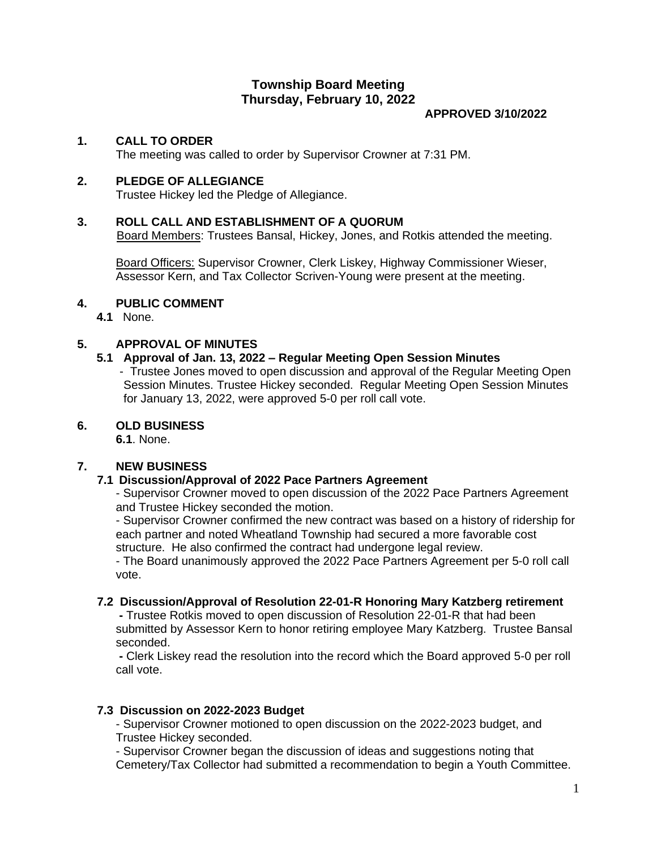# **Township Board Meeting Thursday, February 10, 2022**

#### **APPROVED 3/10/2022**

### **1. CALL TO ORDER**

The meeting was called to order by Supervisor Crowner at 7:31 PM.

### **2. PLEDGE OF ALLEGIANCE**

Trustee Hickey led the Pledge of Allegiance.

### **3. ROLL CALL AND ESTABLISHMENT OF A QUORUM**

Board Members: Trustees Bansal, Hickey, Jones, and Rotkis attended the meeting.

Board Officers: Supervisor Crowner, Clerk Liskey, Highway Commissioner Wieser, Assessor Kern, and Tax Collector Scriven-Young were present at the meeting.

#### **4. PUBLIC COMMENT**

**4.1** None.

### **5. APPROVAL OF MINUTES**

### **5.1 Approval of Jan. 13, 2022 – Regular Meeting Open Session Minutes**

 - Trustee Jones moved to open discussion and approval of the Regular Meeting Open Session Minutes. Trustee Hickey seconded. Regular Meeting Open Session Minutes for January 13, 2022, were approved 5-0 per roll call vote.

### **6. OLD BUSINESS**

**6.1**. None.

### **7. NEW BUSINESS**

### **7.1 Discussion/Approval of 2022 Pace Partners Agreement**

- Supervisor Crowner moved to open discussion of the 2022 Pace Partners Agreement and Trustee Hickey seconded the motion.

- Supervisor Crowner confirmed the new contract was based on a history of ridership for each partner and noted Wheatland Township had secured a more favorable cost structure. He also confirmed the contract had undergone legal review.

- The Board unanimously approved the 2022 Pace Partners Agreement per 5-0 roll call vote.

#### **7.2 Discussion/Approval of Resolution 22-01-R Honoring Mary Katzberg retirement**

**-** Trustee Rotkis moved to open discussion of Resolution 22-01-R that had been submitted by Assessor Kern to honor retiring employee Mary Katzberg. Trustee Bansal seconded.

**-** Clerk Liskey read the resolution into the record which the Board approved 5-0 per roll call vote.

### **7.3 Discussion on 2022-2023 Budget**

- Supervisor Crowner motioned to open discussion on the 2022-2023 budget, and Trustee Hickey seconded.

- Supervisor Crowner began the discussion of ideas and suggestions noting that Cemetery/Tax Collector had submitted a recommendation to begin a Youth Committee.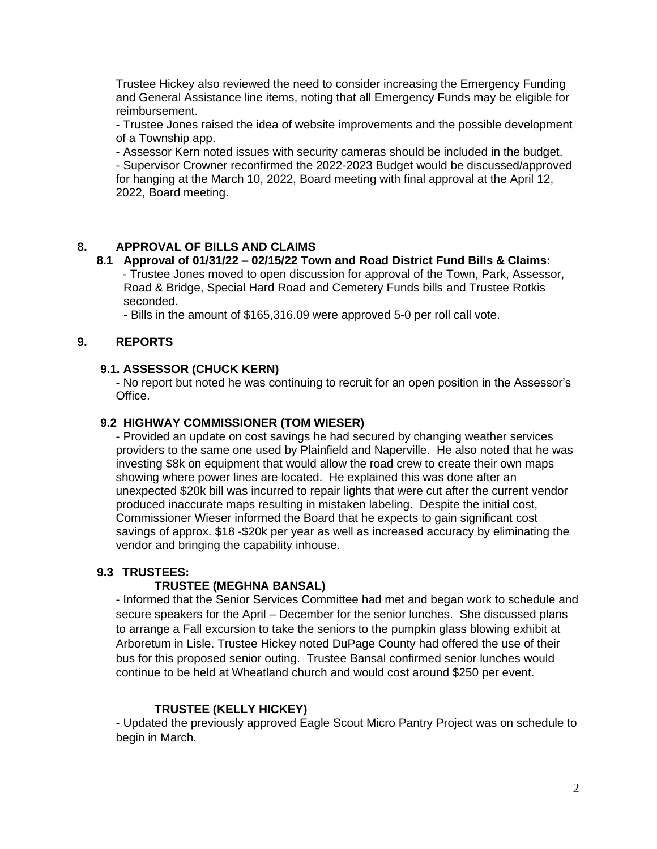Trustee Hickey also reviewed the need to consider increasing the Emergency Funding and General Assistance line items, noting that all Emergency Funds may be eligible for reimbursement.

- Trustee Jones raised the idea of website improvements and the possible development of a Township app.

- Assessor Kern noted issues with security cameras should be included in the budget.

- Supervisor Crowner reconfirmed the 2022-2023 Budget would be discussed/approved for hanging at the March 10, 2022, Board meeting with final approval at the April 12, 2022, Board meeting.

# **8. APPROVAL OF BILLS AND CLAIMS**

## **8.1 Approval of 01/31/22 – 02/15/22 Town and Road District Fund Bills & Claims:**

 - Trustee Jones moved to open discussion for approval of the Town, Park, Assessor, Road & Bridge, Special Hard Road and Cemetery Funds bills and Trustee Rotkis seconded.

- Bills in the amount of \$165,316.09 were approved 5-0 per roll call vote.

# **9. REPORTS**

# **9.1. ASSESSOR (CHUCK KERN)**

- No report but noted he was continuing to recruit for an open position in the Assessor's Office.

## **9.2 HIGHWAY COMMISSIONER (TOM WIESER)**

- Provided an update on cost savings he had secured by changing weather services providers to the same one used by Plainfield and Naperville. He also noted that he was investing \$8k on equipment that would allow the road crew to create their own maps showing where power lines are located. He explained this was done after an unexpected \$20k bill was incurred to repair lights that were cut after the current vendor produced inaccurate maps resulting in mistaken labeling. Despite the initial cost, Commissioner Wieser informed the Board that he expects to gain significant cost savings of approx. \$18 -\$20k per year as well as increased accuracy by eliminating the vendor and bringing the capability inhouse.

## **9.3 TRUSTEES:**

## **TRUSTEE (MEGHNA BANSAL)**

- Informed that the Senior Services Committee had met and began work to schedule and secure speakers for the April – December for the senior lunches. She discussed plans to arrange a Fall excursion to take the seniors to the pumpkin glass blowing exhibit at Arboretum in Lisle. Trustee Hickey noted DuPage County had offered the use of their bus for this proposed senior outing. Trustee Bansal confirmed senior lunches would continue to be held at Wheatland church and would cost around \$250 per event.

## **TRUSTEE (KELLY HICKEY)**

- Updated the previously approved Eagle Scout Micro Pantry Project was on schedule to begin in March.